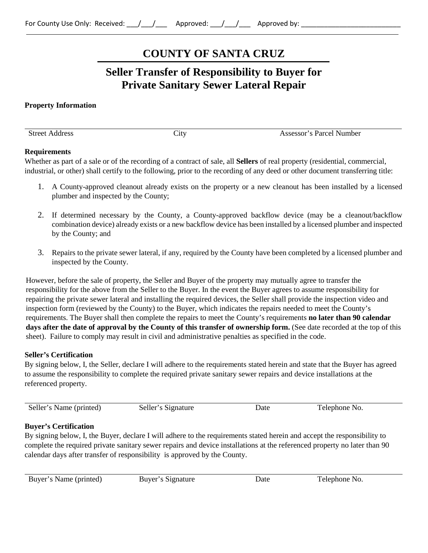# **COUNTY OF SANTA CRUZ**

## **Seller Transfer of Responsibility to Buyer for Private Sanitary Sewer Lateral Repair**

#### **Property Information**

Street Address City City Assessor's Parcel Number

#### **Requirements**

Whether as part of a sale or of the recording of a contract of sale, all **Sellers** of real property (residential, commercial, industrial, or other) shall certify to the following, prior to the recording of any deed or other document transferring title:

- 1. A County-approved cleanout already exists on the property or a new cleanout has been installed by a licensed plumber and inspected by the County;
- 2. If determined necessary by the County, a County-approved backflow device (may be a cleanout/backflow combination device) already exists or a new backflow device has been installed by a licensed plumber and inspected by the County; and
- 3. Repairs to the private sewer lateral, if any, required by the County have been completed by a licensed plumber and inspected by the County.

However, before the sale of property, the Seller and Buyer of the property may mutually agree to transfer the responsibility for the above from the Seller to the Buyer. In the event the Buyer agrees to assume responsibility for repairing the private sewer lateral and installing the required devices, the Seller shall provide the inspection video and inspection form (reviewed by the County) to the Buyer, which indicates the repairs needed to meet the County's requirements. The Buyer shall then complete the repairs to meet the County's requirements **no later than 90 calendar days after the date of approval by the County of this transfer of ownership form.** (See date recorded at the top of this sheet). Failure to comply may result in civil and administrative penalties as specified in the code.

#### **Seller's Certification**

By signing below, I, the Seller, declare I will adhere to the requirements stated herein and state that the Buyer has agreed to assume the responsibility to complete the required private sanitary sewer repairs and device installations at the referenced property.

| Seller's Name (printed) | Seller's Signature | Date<br>. | Telephone No. |
|-------------------------|--------------------|-----------|---------------|
|                         |                    |           |               |

### **Buyer's Certification**

By signing below, I, the Buyer, declare I will adhere to the requirements stated herein and accept the responsibility to complete the required private sanitary sewer repairs and device installations at the referenced property no later than 90 calendar days after transfer of responsibility is approved by the County.